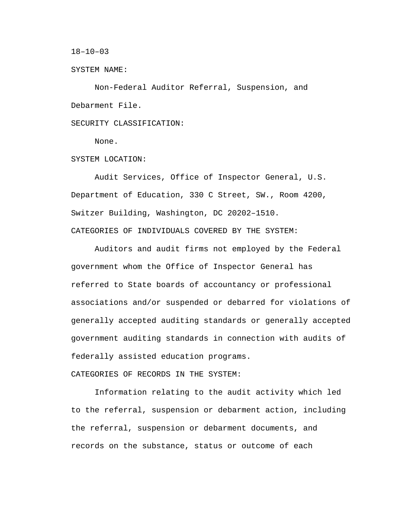$18 - 10 - 03$ 

SYSTEM NAME:

Non-Federal Auditor Referral, Suspension, and Debarment File.

SECURITY CLASSIFICATION:

None.

SYSTEM LOCATION:

Audit Services, Office of Inspector General, U.S. Department of Education, 330 C Street, SW., Room 4200, Switzer Building, Washington, DC 20202–1510. CATEGORIES OF INDIVIDUALS COVERED BY THE SYSTEM:

Auditors and audit firms not employed by the Federal government whom the Office of Inspector General has referred to State boards of accountancy or professional associations and/or suspended or debarred for violations of generally accepted auditing standards or generally accepted government auditing standards in connection with audits of federally assisted education programs.

CATEGORIES OF RECORDS IN THE SYSTEM:

Information relating to the audit activity which led to the referral, suspension or debarment action, including the referral, suspension or debarment documents, and records on the substance, status or outcome of each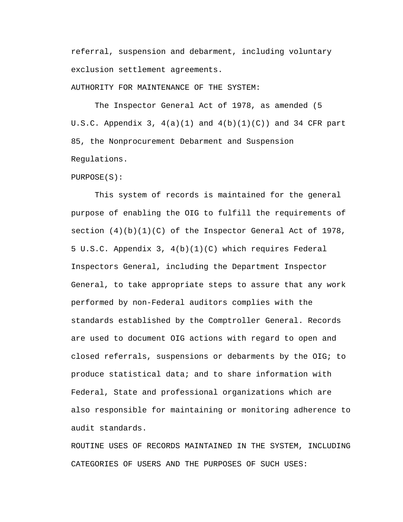referral, suspension and debarment, including voluntary exclusion settlement agreements.

AUTHORITY FOR MAINTENANCE OF THE SYSTEM:

The Inspector General Act of 1978, as amended (5 U.S.C. Appendix 3,  $4(a)(1)$  and  $4(b)(1)(C)$  and 34 CFR part 85, the Nonprocurement Debarment and Suspension Regulations.

PURPOSE(S):

This system of records is maintained for the general purpose of enabling the OIG to fulfill the requirements of section  $(4)(b)(1)(C)$  of the Inspector General Act of 1978, 5 U.S.C. Appendix 3, 4(b)(1)(C) which requires Federal Inspectors General, including the Department Inspector General, to take appropriate steps to assure that any work performed by non-Federal auditors complies with the standards established by the Comptroller General. Records are used to document OIG actions with regard to open and closed referrals, suspensions or debarments by the OIG; to produce statistical data; and to share information with Federal, State and professional organizations which are also responsible for maintaining or monitoring adherence to audit standards.

ROUTINE USES OF RECORDS MAINTAINED IN THE SYSTEM, INCLUDING CATEGORIES OF USERS AND THE PURPOSES OF SUCH USES: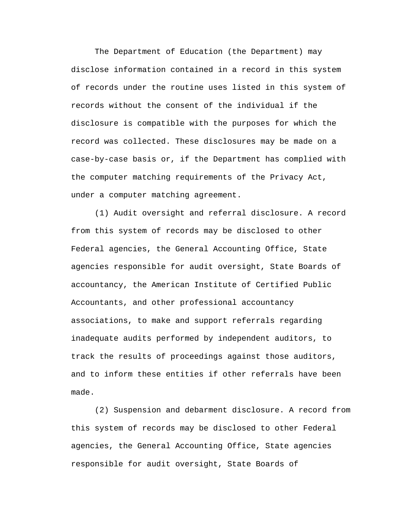The Department of Education (the Department) may disclose information contained in a record in this system of records under the routine uses listed in this system of records without the consent of the individual if the disclosure is compatible with the purposes for which the record was collected. These disclosures may be made on a case-by-case basis or, if the Department has complied with the computer matching requirements of the Privacy Act, under a computer matching agreement.

(1) Audit oversight and referral disclosure. A record from this system of records may be disclosed to other Federal agencies, the General Accounting Office, State agencies responsible for audit oversight, State Boards of accountancy, the American Institute of Certified Public Accountants, and other professional accountancy associations, to make and support referrals regarding inadequate audits performed by independent auditors, to track the results of proceedings against those auditors, and to inform these entities if other referrals have been made.

(2) Suspension and debarment disclosure. A record from this system of records may be disclosed to other Federal agencies, the General Accounting Office, State agencies responsible for audit oversight, State Boards of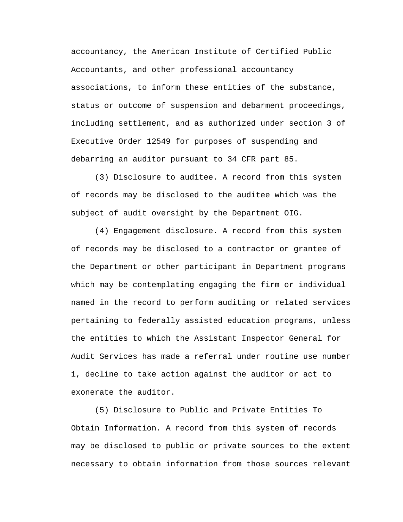accountancy, the American Institute of Certified Public Accountants, and other professional accountancy associations, to inform these entities of the substance, status or outcome of suspension and debarment proceedings, including settlement, and as authorized under section 3 of Executive Order 12549 for purposes of suspending and debarring an auditor pursuant to 34 CFR part 85.

(3) Disclosure to auditee. A record from this system of records may be disclosed to the auditee which was the subject of audit oversight by the Department OIG.

(4) Engagement disclosure. A record from this system of records may be disclosed to a contractor or grantee of the Department or other participant in Department programs which may be contemplating engaging the firm or individual named in the record to perform auditing or related services pertaining to federally assisted education programs, unless the entities to which the Assistant Inspector General for Audit Services has made a referral under routine use number 1, decline to take action against the auditor or act to exonerate the auditor.

(5) Disclosure to Public and Private Entities To Obtain Information. A record from this system of records may be disclosed to public or private sources to the extent necessary to obtain information from those sources relevant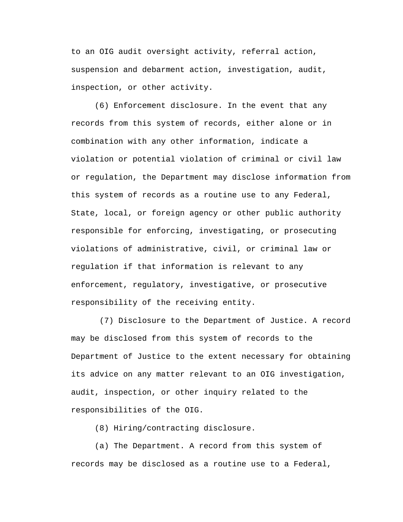to an OIG audit oversight activity, referral action, suspension and debarment action, investigation, audit, inspection, or other activity.

(6) Enforcement disclosure. In the event that any records from this system of records, either alone or in combination with any other information, indicate a violation or potential violation of criminal or civil law or regulation, the Department may disclose information from this system of records as a routine use to any Federal, State, local, or foreign agency or other public authority responsible for enforcing, investigating, or prosecuting violations of administrative, civil, or criminal law or regulation if that information is relevant to any enforcement, regulatory, investigative, or prosecutive responsibility of the receiving entity.

(7) Disclosure to the Department of Justice. A record may be disclosed from this system of records to the Department of Justice to the extent necessary for obtaining its advice on any matter relevant to an OIG investigation, audit, inspection, or other inquiry related to the responsibilities of the OIG.

(8) Hiring/contracting disclosure.

(a) The Department. A record from this system of records may be disclosed as a routine use to a Federal,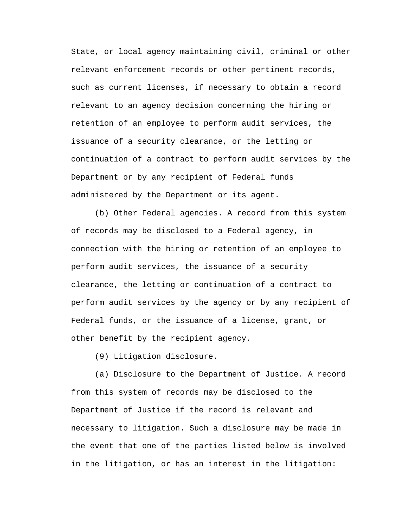State, or local agency maintaining civil, criminal or other relevant enforcement records or other pertinent records, such as current licenses, if necessary to obtain a record relevant to an agency decision concerning the hiring or retention of an employee to perform audit services, the issuance of a security clearance, or the letting or continuation of a contract to perform audit services by the Department or by any recipient of Federal funds administered by the Department or its agent.

(b) Other Federal agencies. A record from this system of records may be disclosed to a Federal agency, in connection with the hiring or retention of an employee to perform audit services, the issuance of a security clearance, the letting or continuation of a contract to perform audit services by the agency or by any recipient of Federal funds, or the issuance of a license, grant, or other benefit by the recipient agency.

(9) Litigation disclosure.

(a) Disclosure to the Department of Justice. A record from this system of records may be disclosed to the Department of Justice if the record is relevant and necessary to litigation. Such a disclosure may be made in the event that one of the parties listed below is involved in the litigation, or has an interest in the litigation: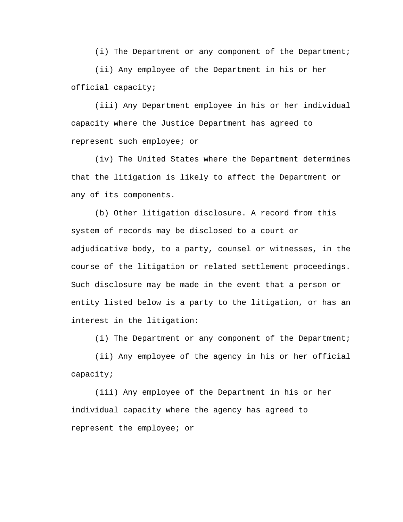(i) The Department or any component of the Department;

(ii) Any employee of the Department in his or her official capacity;

(iii) Any Department employee in his or her individual capacity where the Justice Department has agreed to represent such employee; or

(iv) The United States where the Department determines that the litigation is likely to affect the Department or any of its components.

(b) Other litigation disclosure. A record from this system of records may be disclosed to a court or adjudicative body, to a party, counsel or witnesses, in the course of the litigation or related settlement proceedings. Such disclosure may be made in the event that a person or entity listed below is a party to the litigation, or has an interest in the litigation:

(i) The Department or any component of the Department;

(ii) Any employee of the agency in his or her official capacity;

(iii) Any employee of the Department in his or her individual capacity where the agency has agreed to represent the employee; or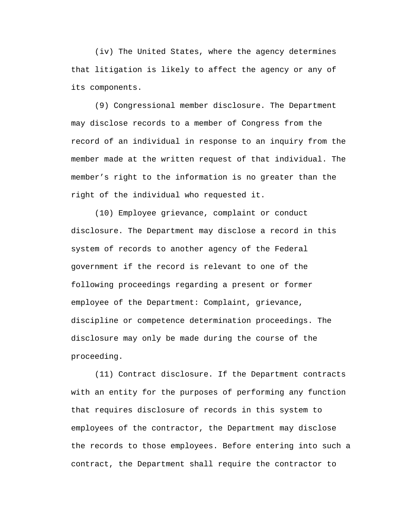(iv) The United States, where the agency determines that litigation is likely to affect the agency or any of its components.

(9) Congressional member disclosure. The Department may disclose records to a member of Congress from the record of an individual in response to an inquiry from the member made at the written request of that individual. The member's right to the information is no greater than the right of the individual who requested it.

(10) Employee grievance, complaint or conduct disclosure. The Department may disclose a record in this system of records to another agency of the Federal government if the record is relevant to one of the following proceedings regarding a present or former employee of the Department: Complaint, grievance, discipline or competence determination proceedings. The disclosure may only be made during the course of the proceeding.

(11) Contract disclosure. If the Department contracts with an entity for the purposes of performing any function that requires disclosure of records in this system to employees of the contractor, the Department may disclose the records to those employees. Before entering into such a contract, the Department shall require the contractor to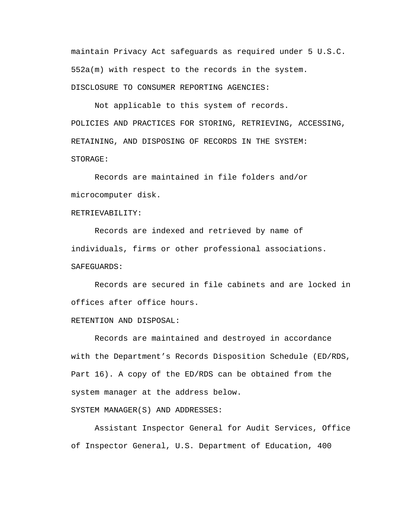maintain Privacy Act safeguards as required under 5 U.S.C. 552a(m) with respect to the records in the system. DISCLOSURE TO CONSUMER REPORTING AGENCIES:

Not applicable to this system of records. POLICIES AND PRACTICES FOR STORING, RETRIEVING, ACCESSING, RETAINING, AND DISPOSING OF RECORDS IN THE SYSTEM: STORAGE:

Records are maintained in file folders and/or microcomputer disk.

## RETRIEVABILITY:

Records are indexed and retrieved by name of individuals, firms or other professional associations. SAFEGUARDS:

Records are secured in file cabinets and are locked in offices after office hours.

## RETENTION AND DISPOSAL:

Records are maintained and destroyed in accordance with the Department's Records Disposition Schedule (ED/RDS, Part 16). A copy of the ED/RDS can be obtained from the system manager at the address below.

SYSTEM MANAGER(S) AND ADDRESSES:

Assistant Inspector General for Audit Services, Office of Inspector General, U.S. Department of Education, 400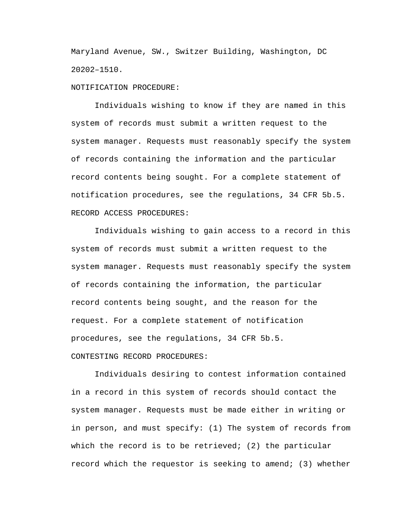Maryland Avenue, SW., Switzer Building, Washington, DC 20202–1510.

NOTIFICATION PROCEDURE:

Individuals wishing to know if they are named in this system of records must submit a written request to the system manager. Requests must reasonably specify the system of records containing the information and the particular record contents being sought. For a complete statement of notification procedures, see the regulations, 34 CFR 5b.5. RECORD ACCESS PROCEDURES:

Individuals wishing to gain access to a record in this system of records must submit a written request to the system manager. Requests must reasonably specify the system of records containing the information, the particular record contents being sought, and the reason for the request. For a complete statement of notification procedures, see the regulations, 34 CFR 5b.5. CONTESTING RECORD PROCEDURES:

Individuals desiring to contest information contained in a record in this system of records should contact the system manager. Requests must be made either in writing or in person, and must specify: (1) The system of records from which the record is to be retrieved; (2) the particular record which the requestor is seeking to amend; (3) whether